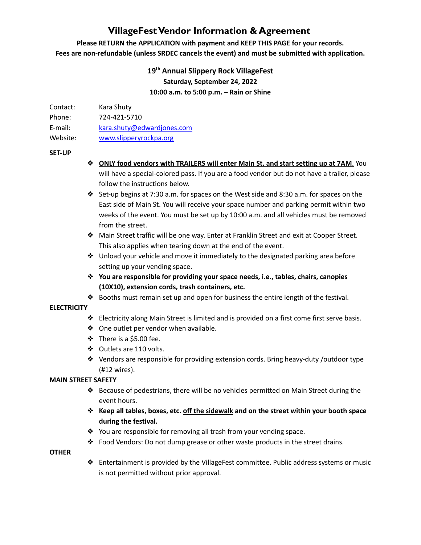## **VillageFestVendor Information & Agreement**

**Please RETURN the APPLICATION with payment and KEEP THIS PAGE for your records. Fees are non-refundable (unless SRDEC cancels the event) and must be submitted with application.**

## **19th Annual Slippery Rock VillageFest Saturday, September 24, 2022 10:00 a.m. to 5:00 p.m. – Rain or Shine**

| Contact: | Kara Shuty   |
|----------|--------------|
| Phone:   | 724-421-5710 |

E-mail: [kara.shuty@edwardjones.com](mailto:kara.shuty@edwardjones.com)

Website: [www.slipperyrockpa.org](http://www.slipperyrockpa.org)

#### **SET-UP**

- ❖ **ONLY food vendors with TRAILERS will enter Main St. and start setting up at 7AM**. You will have a special-colored pass. If you are a food vendor but do not have a trailer, please follow the instructions below.
- ❖ Set-up begins at 7:30 a.m. for spaces on the West side and 8:30 a.m. for spaces on the East side of Main St. You will receive your space number and parking permit within two weeks of the event. You must be set up by 10:00 a.m. and all vehicles must be removed from the street.
- ❖ Main Street traffic will be one way. Enter at Franklin Street and exit at Cooper Street. This also applies when tearing down at the end of the event.
- ❖ Unload your vehicle and move it immediately to the designated parking area before setting up your vending space.
- ❖ **You are responsible for providing your space needs, i.e., tables, chairs, canopies (10X10), extension cords, trash containers, etc.**
- ❖ Booths must remain set up and open for business the entire length of the festival.

#### **ELECTRICITY**

- ❖ Electricity along Main Street is limited and is provided on a first come first serve basis.
- ❖ One outlet per vendor when available.
- ❖ There is a \$5.00 fee.
- ❖ Outlets are 110 volts.
- ❖ Vendors are responsible for providing extension cords. Bring heavy-duty /outdoor type (#12 wires).

#### **MAIN STREET SAFETY**

- ❖ Because of pedestrians, there will be no vehicles permitted on Main Street during the event hours.
- ❖ **Keep all tables, boxes, etc. off the sidewalk and on the street within your booth space during the festival.**
- ❖ You are responsible for removing all trash from your vending space.
- ❖ Food Vendors: Do not dump grease or other waste products in the street drains.

#### **OTHER**

❖ Entertainment is provided by the VillageFest committee. Public address systems or music is not permitted without prior approval.